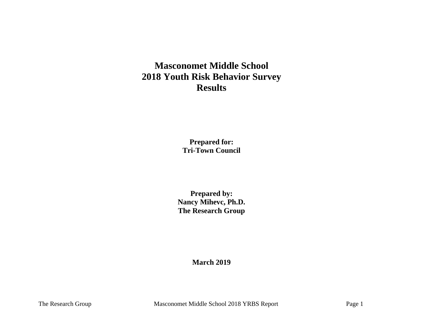# **Masconomet Middle School 2018 Youth Risk Behavior Survey Results**

**Prepared for: Tri-Town Council**

**Prepared by: Nancy Mihevc, Ph.D. The Research Group**

**March 2019**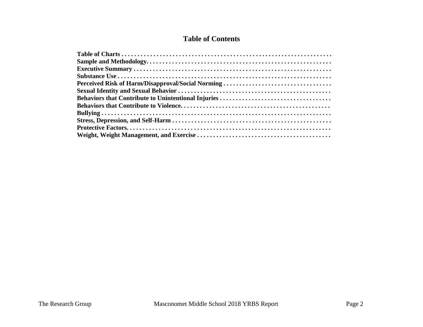# **Table of Contents**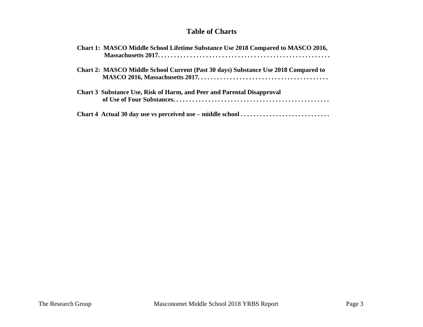# **Table of Charts**

| Chart 1: MASCO Middle School Lifetime Substance Use 2018 Compared to MASCO 2016,   |
|------------------------------------------------------------------------------------|
| Chart 2: MASCO Middle School Current (Past 30 days) Substance Use 2018 Compared to |
| <b>Chart 3 Substance Use, Risk of Harm, and Peer and Parental Disapproval</b>      |
|                                                                                    |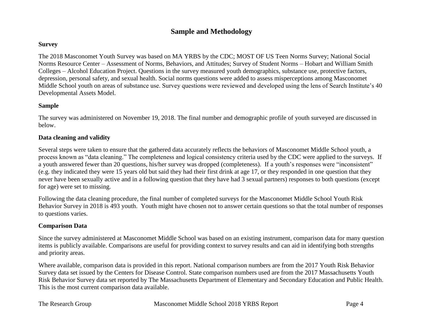# **Sample and Methodology**

#### **Survey**

The 2018 Masconomet Youth Survey was based on MA YRBS by the CDC; MOST OF US Teen Norms Survey; National Social Norms Resource Center – Assessment of Norms, Behaviors, and Attitudes; Survey of Student Norms – Hobart and William Smith Colleges – Alcohol Education Project. Questions in the survey measured youth demographics, substance use, protective factors, depression, personal safety, and sexual health. Social norms questions were added to assess misperceptions among Masconomet Middle School youth on areas of substance use. Survey questions were reviewed and developed using the lens of Search Institute's 40 Developmental Assets Model.

#### **Sample**

The survey was administered on November 19, 2018. The final number and demographic profile of youth surveyed are discussed in below.

#### **Data cleaning and validity**

Several steps were taken to ensure that the gathered data accurately reflects the behaviors of Masconomet Middle School youth, a process known as "data cleaning." The completeness and logical consistency criteria used by the CDC were applied to the surveys. If a youth answered fewer than 20 questions, his/her survey was dropped (completeness). If a youth's responses were "inconsistent" (e.g. they indicated they were 15 years old but said they had their first drink at age 17, or they responded in one question that they never have been sexually active and in a following question that they have had 3 sexual partners) responses to both questions (except for age) were set to missing.

Following the data cleaning procedure, the final number of completed surveys for the Masconomet Middle School Youth Risk Behavior Survey in 2018 is 493 youth. Youth might have chosen not to answer certain questions so that the total number of responses to questions varies.

#### **Comparison Data**

Since the survey administered at Masconomet Middle School was based on an existing instrument, comparison data for many question items is publicly available. Comparisons are useful for providing context to survey results and can aid in identifying both strengths and priority areas.

Where available, comparison data is provided in this report. National comparison numbers are from the 2017 Youth Risk Behavior Survey data set issued by the Centers for Disease Control. State comparison numbers used are from the 2017 Massachusetts Youth Risk Behavior Survey data set reported by The Massachusetts Department of Elementary and Secondary Education and Public Health. This is the most current comparison data available.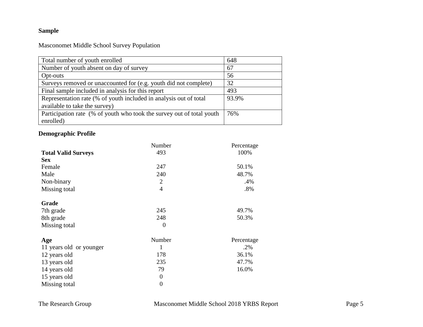# **Sample**

Masconomet Middle School Survey Population

| Total number of youth enrolled                                        | 648   |
|-----------------------------------------------------------------------|-------|
| Number of youth absent on day of survey                               | 67    |
| Opt-outs                                                              | 56    |
| Surveys removed or unaccounted for (e.g. youth did not complete)      | 32    |
| Final sample included in analysis for this report                     | 493   |
| Representation rate (% of youth included in analysis out of total     | 93.9% |
| available to take the survey)                                         |       |
| Participation rate (% of youth who took the survey out of total youth | 76%   |
| enrolled)                                                             |       |

# **Demographic Profile**

|                            | Number           | Percentage |
|----------------------------|------------------|------------|
| <b>Total Valid Surveys</b> | 493              | 100%       |
| <b>Sex</b>                 |                  |            |
| Female                     | 247              | 50.1%      |
| Male                       | 240              | 48.7%      |
| Non-binary                 | $\overline{2}$   | .4%        |
| Missing total              | $\overline{4}$   | .8%        |
| Grade                      |                  |            |
| 7th grade                  | 245              | 49.7%      |
| 8th grade                  | 248              | 50.3%      |
| Missing total              | $\theta$         |            |
| Age                        | Number           | Percentage |
| 11 years old or younger    | 1                | .2%        |
| 12 years old               | 178              | 36.1%      |
| 13 years old               | 235              | 47.7%      |
| 14 years old               | 79               | 16.0%      |
| 15 years old               | $\boldsymbol{0}$ |            |
| Missing total              | $\boldsymbol{0}$ |            |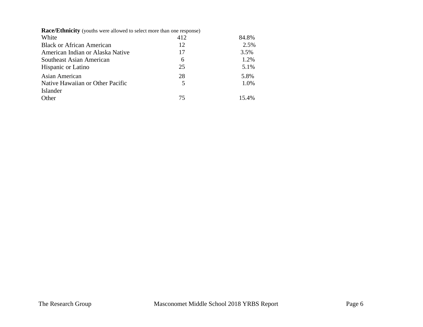| <b>Race/Ethnicity</b> (youths were allowed to select more than one response) |     |       |  |  |
|------------------------------------------------------------------------------|-----|-------|--|--|
| White                                                                        | 412 | 84.8% |  |  |
| <b>Black or African American</b>                                             | 12  | 2.5%  |  |  |
| American Indian or Alaska Native                                             | 17  | 3.5%  |  |  |
| Southeast Asian American                                                     | 6   | 1.2%  |  |  |
| <b>Hispanic or Latino</b>                                                    | 25  | 5.1%  |  |  |
| Asian American                                                               | 28  | 5.8%  |  |  |
| Native Hawaiian or Other Pacific                                             | 5   | 1.0%  |  |  |
| Islander                                                                     |     |       |  |  |
| Other                                                                        | 75  | 15.4% |  |  |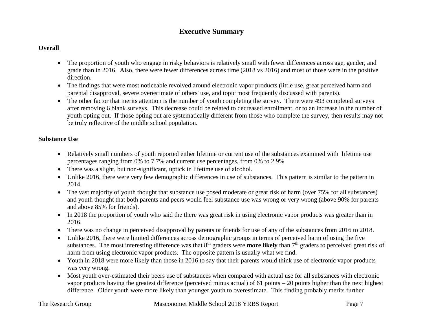# **Executive Summary**

# **Overall**

- The proportion of youth who engage in risky behaviors is relatively small with fewer differences across age, gender, and grade than in 2016. Also, there were fewer differences across time (2018 vs 2016) and most of those were in the positive direction.
- The findings that were most noticeable revolved around electronic vapor products (little use, great perceived harm and parental disapproval, severe overestimate of others' use, and topic most frequently discussed with parents).
- The other factor that merits attention is the number of youth completing the survey. There were 493 completed surveys after removing 6 blank surveys. This decrease could be related to decreased enrollment, or to an increase in the number of youth opting out. If those opting out are systematically different from those who complete the survey, then results may not be truly reflective of the middle school population.

# **Substance Use**

- Relatively small numbers of youth reported either lifetime or current use of the substances examined with lifetime use percentages ranging from 0% to 7.7% and current use percentages, from 0% to 2.9%
- There was a slight, but non-significant, uptick in lifetime use of alcohol.
- Unlike 2016, there were very few demographic differences in use of substances. This pattern is similar to the pattern in 2014.
- The vast majority of youth thought that substance use posed moderate or great risk of harm (over 75% for all substances) and youth thought that both parents and peers would feel substance use was wrong or very wrong (above 90% for parents and above 85% for friends).
- In 2018 the proportion of youth who said the there was great risk in using electronic vapor products was greater than in 2016.
- There was no change in perceived disapproval by parents or friends for use of any of the substances from 2016 to 2018.
- Unlike 2016, there were limited differences across demographic groups in terms of perceived harm of using the five substances. The most interesting difference was that 8<sup>th</sup> graders were **more likely** than 7<sup>th</sup> graders to perceived great risk of harm from using electronic vapor products. The opposite pattern is usually what we find.
- Youth in 2018 were more likely than those in 2016 to say that their parents would think use of electronic vapor products was very wrong.
- Most youth over-estimated their peers use of substances when compared with actual use for all substances with electronic vapor products having the greatest difference (perceived minus actual) of 61 points – 20 points higher than the next highest difference. Older youth were more likely than younger youth to overestimate. This finding probably merits further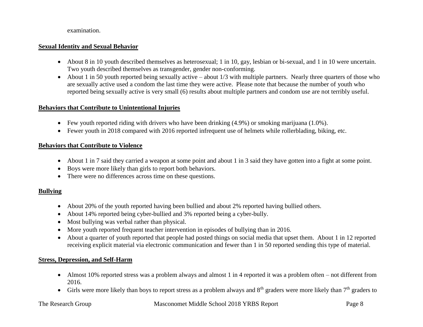#### examination.

### **Sexual Identity and Sexual Behavior**

- About 8 in 10 youth described themselves as heterosexual; 1 in 10, gay, lesbian or bi-sexual, and 1 in 10 were uncertain. Two youth described themselves as transgender, gender non-conforming.
- About 1 in 50 youth reported being sexually active about  $1/3$  with multiple partners. Nearly three quarters of those who are sexually active used a condom the last time they were active. Please note that because the number of youth who reported being sexually active is very small (6) results about multiple partners and condom use are not terribly useful.

### **Behaviors that Contribute to Unintentional Injuries**

- Few youth reported riding with drivers who have been drinking (4.9%) or smoking marijuana (1.0%).
- Fewer youth in 2018 compared with 2016 reported infrequent use of helmets while rollerblading, biking, etc.

#### **Behaviors that Contribute to Violence**

- About 1 in 7 said they carried a weapon at some point and about 1 in 3 said they have gotten into a fight at some point.
- Boys were more likely than girls to report both behaviors.
- There were no differences across time on these questions.

# **Bullying**

- About 20% of the youth reported having been bullied and about 2% reported having bullied others.
- About 14% reported being cyber-bullied and 3% reported being a cyber-bully.
- Most bullying was verbal rather than physical.
- More youth reported frequent teacher intervention in episodes of bullying than in 2016.
- About a quarter of youth reported that people had posted things on social media that upset them. About 1 in 12 reported receiving explicit material via electronic communication and fewer than 1 in 50 reported sending this type of material.

# **Stress, Depression, and Self-Harm**

- Almost 10% reported stress was a problem always and almost 1 in 4 reported it was a problem often not different from 2016.
- Girls were more likely than boys to report stress as a problem always and  $8<sup>th</sup>$  graders were more likely than  $7<sup>th</sup>$  graders to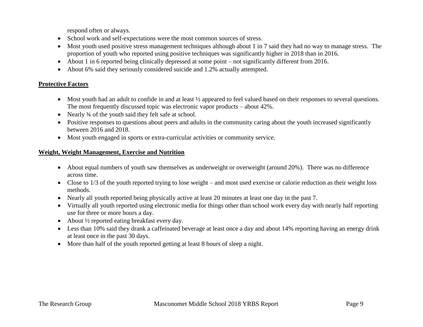respond often or always.

- School work and self-expectations were the most common sources of stress.
- Most youth used positive stress management techniques although about 1 in 7 said they had no way to manage stress. The proportion of youth who reported using positive techniques was significantly higher in 2018 than in 2016.
- About 1 in 6 reported being clinically depressed at some point not significantly different from 2016.
- About 6% said they seriously considered suicide and 1.2% actually attempted.

# **Protective Factors**

- Most youth had an adult to confide in and at least  $\frac{1}{2}$  appeared to feel valued based on their responses to several questions. The most frequently discussed topic was electronic vapor products – about 42%.
- Nearly <sup>3</sup>/4 of the youth said they felt safe at school.
- Positive responses to questions about peers and adults in the community caring about the youth increased significantly between 2016 and 2018.
- Most youth engaged in sports or extra-curricular activities or community service.

# **Weight, Weight Management, Exercise and Nutrition**

- About equal numbers of youth saw themselves as underweight or overweight (around 20%). There was no difference across time.
- Close to 1/3 of the youth reported trying to lose weight and most used exercise or calorie reduction as their weight loss methods.
- Nearly all youth reported being physically active at least 20 minutes at least one day in the past 7.
- Virtually all youth reported using electronic media for things other than school work every day with nearly half reporting use for three or more hours a day.
- About ½ reported eating breakfast every day.
- Less than 10% said they drank a caffeinated beverage at least once a day and about 14% reporting having an energy drink at least once in the past 30 days.
- More than half of the youth reported getting at least 8 hours of sleep a night.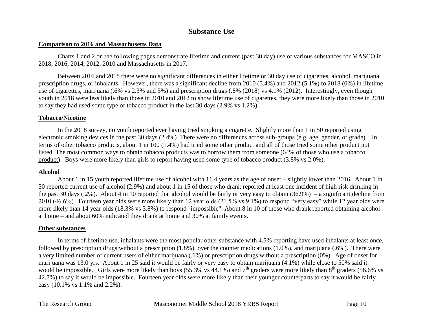# **Substance Use**

#### **Comparison to 2016 and Massachusetts Data**

Charts 1 and 2 on the following pages demonstrate lifetime and current (past 30 day) use of various substances for MASCO in 2018, 2016, 2014, 2012, 2010 and Massachusetts in 2017.

Between 2016 and 2018 there were no significant differences in either lifetime or 30 day use of cigarettes, alcohol, marijuana, prescription drugs, or inhalants. However, there was a significant decline from 2010 (5.4%) and 2012 (5.1%) to 2018 (0%) in lifetime use of cigarettes, marijuana (.6% vs 2.3% and 5%) and prescription drugs (.8% (2018) vs 4.1% (2012). Interestingly, even though youth in 2018 were less likely than those in 2010 and 2012 to show lifetime use of cigarettes, they were more likely than those in 2010 to say they had used some type of tobacco product in the last 30 days (2.9% vs 1.2%).

#### **Tobacco/Nicotine**

In the 2018 survey, no youth reported ever having tried smoking a cigarette. Slightly more than 1 in 50 reported using electronic smoking devices in the past 30 days (2.4%) There were no differences across sub-groups (e.g. age, gender, or grade). In terms of other tobacco products, about 1 in 100 (1.4%) had tried some other product and all of those tried some other product not listed. The most common ways to obtain tobacco products was to borrow them from someone (64% of those who use a tobacco product). Boys were more likely than girls to report having used some type of tobacco product (3.8% vs 2.0%).

#### **Alcohol**

About 1 in 15 youth reported lifetime use of alcohol with 11.4 years as the age of onset – slightly lower than 2016. About 1 in 50 reported current use of alcohol (2.9%) and about 1 in 15 of those who drank reported at least one incident of high risk drinking in the past 30 days (.2%). About 4 in 10 reported that alcohol would be fairly or very easy to obtain (36.9%) – a significant decline from 2010 (46.6%). Fourteen year olds were more likely than 12 year olds (21.5% vs 9.1%) to respond "very easy" while 12 year olds were more likely than 14 year olds (18.3% vs 3.8%) to respond "impossible". About 8 in 10 of those who drank reported obtaining alcohol at home – and about 60% indicated they drank at home and 30% at family events.

#### **Other substances**

In terms of lifetime use, inhalants were the most popular other substance with 4.5% reporting have used inhalants at least once, followed by prescription drugs without a prescription (1.8%), over the counter medications (1.0%), and marijuana (.6%). There were a very limited number of current users of either marijuana (.6%) or prescription drugs without a prescription (0%). Age of onset for marijuana was 13.0 yrs. About 1 in 25 said it would be fairly or very easy to obtain marijuana (4.1%) while close to 50% said it would be impossible. Girls were more likely than boys (55.3% vs 44.1%) and  $7<sup>th</sup>$  graders were more likely than  $8<sup>th</sup>$  graders (56.6% vs 42.7%) to say it would be impossible. Fourteen year olds were more likely than their younger counterparts to say it would be fairly easy (10.1% vs 1.1% and 2.2%).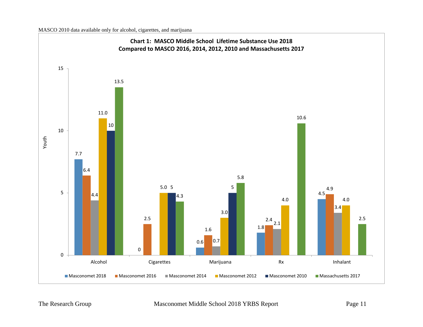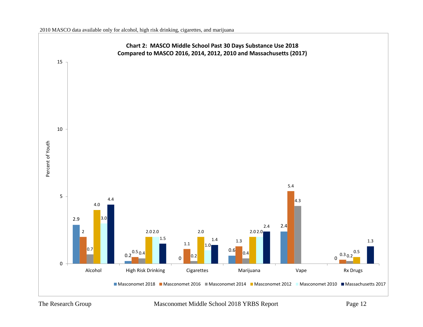

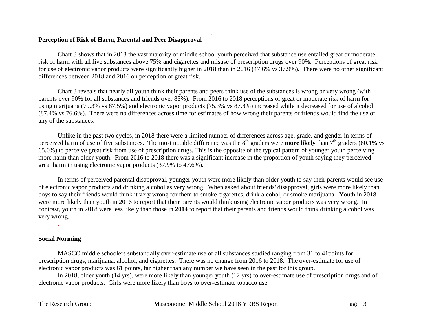### **Perception of Risk of Harm, Parental and Peer Disapproval**

Chart 3 shows that in 2018 the vast majority of middle school youth perceived that substance use entailed great or moderate risk of harm with all five substances above 75% and cigarettes and misuse of prescription drugs over 90%. Perceptions of great risk for use of electronic vapor products were significantly higher in 2018 than in 2016 (47.6% vs 37.9%). There were no other significant differences between 2018 and 2016 on perception of great risk.

.

Chart 3 reveals that nearly all youth think their parents and peers think use of the substances is wrong or very wrong (with parents over 90% for all substances and friends over 85%). From 2016 to 2018 perceptions of great or moderate risk of harm for using marijuana (79.3% vs 87.5%) and electronic vapor products (75.3% vs 87.8%) increased while it decreased for use of alcohol (87.4% vs 76.6%). There were no differences across time for estimates of how wrong their parents or friends would find the use of any of the substances.

Unlike in the past two cycles, in 2018 there were a limited number of differences across age, grade, and gender in terms of perceived harm of use of five substances. The most notable difference was the 8<sup>th</sup> graders were **more likely** than 7<sup>th</sup> graders (80.1% vs 65.0%) to perceive great risk from use of prescription drugs. This is the opposite of the typical pattern of younger youth perceiving more harm than older youth. From 2016 to 2018 there was a significant increase in the proportion of youth saying they perceived great harm in using electronic vapor products (37.9% to 47.6%).

In terms of perceived parental disapproval, younger youth were more likely than older youth to say their parents would see use of electronic vapor products and drinking alcohol as very wrong. When asked about friends' disapproval, girls were more likely than boys to say their friends would think it very wrong for them to smoke cigarettes, drink alcohol, or smoke marijuana. Youth in 2018 were more likely than youth in 2016 to report that their parents would think using electronic vapor products was very wrong. In contrast, youth in 2018 were less likely than those in **2014** to report that their parents and friends would think drinking alcohol was very wrong.

#### **Social Norming**

.

MASCO middle schoolers substantially over-estimate use of all substances studied ranging from 31 to 41points for prescription drugs, marijuana, alcohol, and cigarettes. There was no change from 2016 to 2018. The over-estimate for use of electronic vapor products was 61 points, far higher than any number we have seen in the past for this group.

In 2018, older youth (14 yrs), were more likely than younger youth (12 yrs) to over-estimate use of prescription drugs and of electronic vapor products. Girls were more likely than boys to over-estimate tobacco use.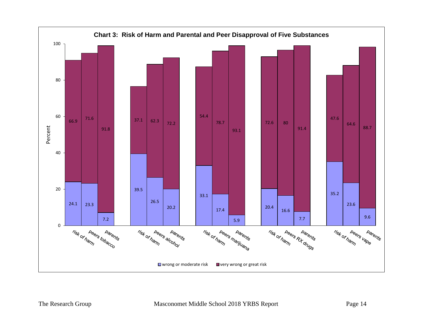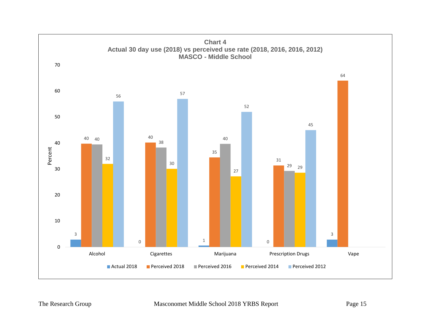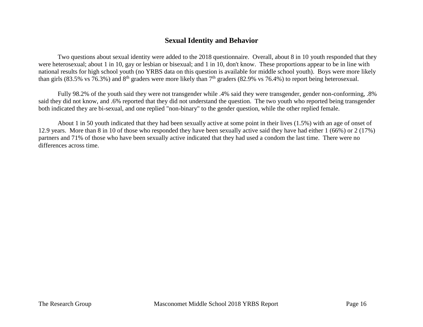# **Sexual Identity and Behavior**

Two questions about sexual identity were added to the 2018 questionnaire. Overall, about 8 in 10 youth responded that they were heterosexual; about 1 in 10, gay or lesbian or bisexual; and 1 in 10, don't know. These proportions appear to be in line with national results for high school youth (no YRBS data on this question is available for middle school youth). Boys were more likely than girls (83.5% vs 76.3%) and  $8<sup>th</sup>$  graders were more likely than  $7<sup>th</sup>$  graders (82.9% vs 76.4%) to report being heterosexual.

Fully 98.2% of the youth said they were not transgender while .4% said they were transgender, gender non-conforming, .8% said they did not know, and .6% reported that they did not understand the question. The two youth who reported being transgender both indicated they are bi-sexual, and one replied "non-binary" to the gender question, while the other replied female.

About 1 in 50 youth indicated that they had been sexually active at some point in their lives (1.5%) with an age of onset of 12.9 years. More than 8 in 10 of those who responded they have been sexually active said they have had either 1 (66%) or 2 (17%) partners and 71% of those who have been sexually active indicated that they had used a condom the last time. There were no differences across time.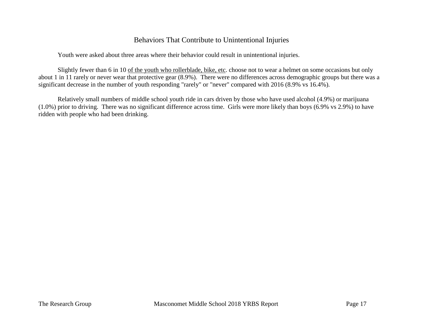# Behaviors That Contribute to Unintentional Injuries

Youth were asked about three areas where their behavior could result in unintentional injuries.

Slightly fewer than 6 in 10 of the youth who rollerblade, bike, etc. choose not to wear a helmet on some occasions but only about 1 in 11 rarely or never wear that protective gear (8.9%). There were no differences across demographic groups but there was a significant decrease in the number of youth responding "rarely" or "never" compared with 2016 (8.9% vs 16.4%).

Relatively small numbers of middle school youth ride in cars driven by those who have used alcohol (4.9%) or marijuana (1.0%) prior to driving. There was no significant difference across time. Girls were more likely than boys (6.9% vs 2.9%) to have ridden with people who had been drinking.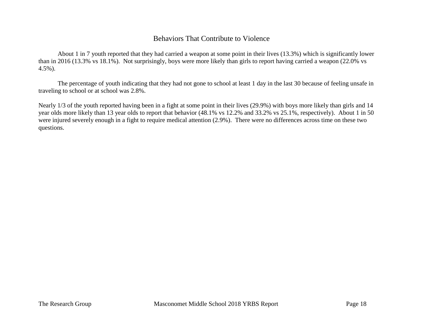# Behaviors That Contribute to Violence

About 1 in 7 youth reported that they had carried a weapon at some point in their lives (13.3%) which is significantly lower than in 2016 (13.3% vs 18.1%). Not surprisingly, boys were more likely than girls to report having carried a weapon (22.0% vs 4.5%).

The percentage of youth indicating that they had not gone to school at least 1 day in the last 30 because of feeling unsafe in traveling to school or at school was 2.8%.

Nearly 1/3 of the youth reported having been in a fight at some point in their lives (29.9%) with boys more likely than girls and 14 year olds more likely than 13 year olds to report that behavior (48.1% vs 12.2% and 33.2% vs 25.1%, respectively). About 1 in 50 were injured severely enough in a fight to require medical attention (2.9%). There were no differences across time on these two questions.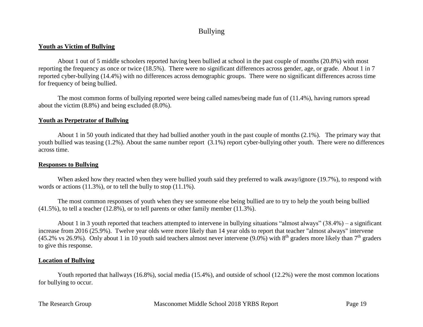# Bullying

### **Youth as Victim of Bullying**

About 1 out of 5 middle schoolers reported having been bullied at school in the past couple of months (20.8%) with most reporting the frequency as once or twice (18.5%). There were no significant differences across gender, age, or grade. About 1 in 7 reported cyber-bullying (14.4%) with no differences across demographic groups. There were no significant differences across time for frequency of being bullied.

The most common forms of bullying reported were being called names/being made fun of (11.4%), having rumors spread about the victim (8.8%) and being excluded (8.0%).

# **Youth as Perpetrator of Bullying**

About 1 in 50 youth indicated that they had bullied another youth in the past couple of months (2.1%). The primary way that youth bullied was teasing (1.2%). About the same number report (3.1%) report cyber-bullying other youth. There were no differences across time.

#### **Responses to Bullying**

When asked how they reacted when they were bullied youth said they preferred to walk away/ignore (19.7%), to respond with words or actions (11.3%), or to tell the bully to stop (11.1%).

The most common responses of youth when they see someone else being bullied are to try to help the youth being bullied (41.5%), to tell a teacher (12.8%), or to tell parents or other family member (11.3%).

About 1 in 3 youth reported that teachers attempted to intervene in bullying situations "almost always" (38.4%) – a significant increase from 2016 (25.9%). Twelve year olds were more likely than 14 year olds to report that teacher "almost always" intervene (45.2% vs 26.9%). Only about 1 in 10 youth said teachers almost never intervene (9.0%) with  $8<sup>th</sup>$  graders more likely than  $7<sup>th</sup>$  graders to give this response.

# **Location of Bullying**

Youth reported that hallways (16.8%), social media (15.4%), and outside of school (12.2%) were the most common locations for bullying to occur.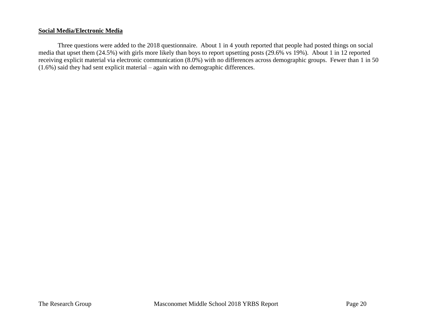#### **Social Media/Electronic Media**

Three questions were added to the 2018 questionnaire. About 1 in 4 youth reported that people had posted things on social media that upset them (24.5%) with girls more likely than boys to report upsetting posts (29.6% vs 19%). About 1 in 12 reported receiving explicit material via electronic communication (8.0%) with no differences across demographic groups. Fewer than 1 in 50 (1.6%) said they had sent explicit material – again with no demographic differences.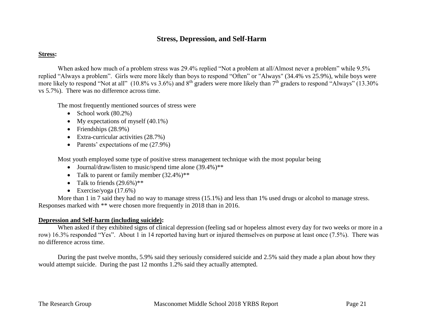# **Stress, Depression, and Self-Harm**

### **Stress:**

When asked how much of a problem stress was 29.4% replied "Not a problem at all/Almost never a problem" while 9.5% replied "Always a problem". Girls were more likely than boys to respond "Often" or "Always" (34.4% vs 25.9%), while boys were more likely to respond "Not at all" (10.8% vs 3.6%) and  $8<sup>th</sup>$  graders were more likely than  $7<sup>th</sup>$  graders to respond "Always" (13.30%) vs 5.7%). There was no difference across time.

The most frequently mentioned sources of stress were

- School work  $(80.2\%)$
- My expectations of myself  $(40.1\%)$
- Friendships  $(28.9\%)$
- Extra-curricular activities (28.7%)
- Parents' expectations of me (27.9%)

Most youth employed some type of positive stress management technique with the most popular being

- Journal/draw/listen to music/spend time alone (39.4%)\*\*
- Talk to parent or family member  $(32.4\%)$ \*\*
- Talk to friends  $(29.6\%)$ \*\*
- Exercise/yoga  $(17.6\%)$

More than 1 in 7 said they had no way to manage stress (15.1%) and less than 1% used drugs or alcohol to manage stress. Responses marked with \*\* were chosen more frequently in 2018 than in 2016.

#### **Depression and Self-harm (including suicide):**

When asked if they exhibited signs of clinical depression (feeling sad or hopeless almost every day for two weeks or more in a row) 16.3% responded "Yes". About 1 in 14 reported having hurt or injured themselves on purpose at least once (7.5%). There was no difference across time.

During the past twelve months, 5.9% said they seriously considered suicide and 2.5% said they made a plan about how they would attempt suicide. During the past 12 months 1.2% said they actually attempted.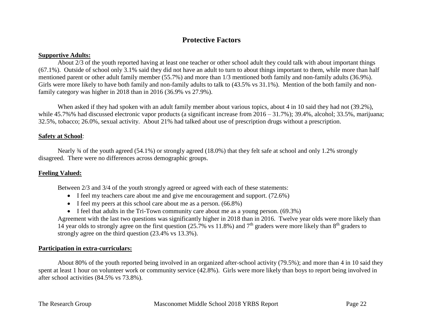# **Protective Factors**

### **Supportive Adults:**

About 2/3 of the youth reported having at least one teacher or other school adult they could talk with about important things (67.1%). Outside of school only 3.1% said they did not have an adult to turn to about things important to them, while more than half mentioned parent or other adult family member (55.7%) and more than 1/3 mentioned both family and non-family adults (36.9%). Girls were more likely to have both family and non-family adults to talk to  $(43.5\% \text{ vs } 31.1\%)$ . Mention of the both family and nonfamily category was higher in 2018 than in 2016 (36.9% vs 27.9%).

When asked if they had spoken with an adult family member about various topics, about 4 in 10 said they had not (39.2%), while 45.7%% had discussed electronic vapor products (a significant increase from 2016 – 31.7%); 39.4%, alcohol; 33.5%, marijuana; 32.5%, tobacco; 26.0%, sexual activity. About 21% had talked about use of prescription drugs without a prescription.

### **Safety at School**:

Nearly ¾ of the youth agreed (54.1%) or strongly agreed (18.0%) that they felt safe at school and only 1.2% strongly disagreed. There were no differences across demographic groups.

#### **Feeling Valued:**

Between 2/3 and 3/4 of the youth strongly agreed or agreed with each of these statements:

- $\bullet$  I feel my teachers care about me and give me encouragement and support. (72.6%)
- $\bullet$  I feel my peers at this school care about me as a person. (66.8%)
- $\bullet$  I feel that adults in the Tri-Town community care about me as a young person. (69.3%)

Agreement with the last two questions was significantly higher in 2018 than in 2016. Twelve year olds were more likely than 14 year olds to strongly agree on the first question (25.7% vs 11.8%) and  $7<sup>th</sup>$  graders were more likely than  $8<sup>th</sup>$  graders to strongly agree on the third question (23.4% vs 13.3%).

#### **Participation in extra-curriculars:**

About 80% of the youth reported being involved in an organized after-school activity (79.5%); and more than 4 in 10 said they spent at least 1 hour on volunteer work or community service (42.8%). Girls were more likely than boys to report being involved in after school activities (84.5% vs 73.8%).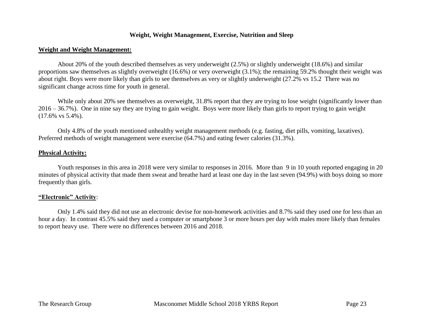# **Weight, Weight Management, Exercise, Nutrition and Sleep**

#### **Weight and Weight Management:**

About 20% of the youth described themselves as very underweight (2.5%) or slightly underweight (18.6%) and similar proportions saw themselves as slightly overweight (16.6%) or very overweight (3.1%); the remaining 59.2% thought their weight was about right. Boys were more likely than girls to see themselves as very or slightly underweight (27.2% vs 15.2 There was no significant change across time for youth in general.

While only about 20% see themselves as overweight, 31.8% report that they are trying to lose weight (significantly lower than 2016 – 36.7%). One in nine say they are trying to gain weight. Boys were more likely than girls to report trying to gain weight (17.6% vs 5.4%).

Only 4.8% of the youth mentioned unhealthy weight management methods (e.g. fasting, diet pills, vomiting, laxatives). Preferred methods of weight management were exercise (64.7%) and eating fewer calories (31.3%).

#### **Physical Activity:**

Youth responses in this area in 2018 were very similar to responses in 2016. More than 9 in 10 youth reported engaging in 20 minutes of physical activity that made them sweat and breathe hard at least one day in the last seven (94.9%) with boys doing so more frequently than girls.

#### **"Electronic" Activity**:

Only 1.4% said they did not use an electronic devise for non-homework activities and 8.7% said they used one for less than an hour a day. In contrast 45.5% said they used a computer or smartphone 3 or more hours per day with males more likely than females to report heavy use. There were no differences between 2016 and 2018.